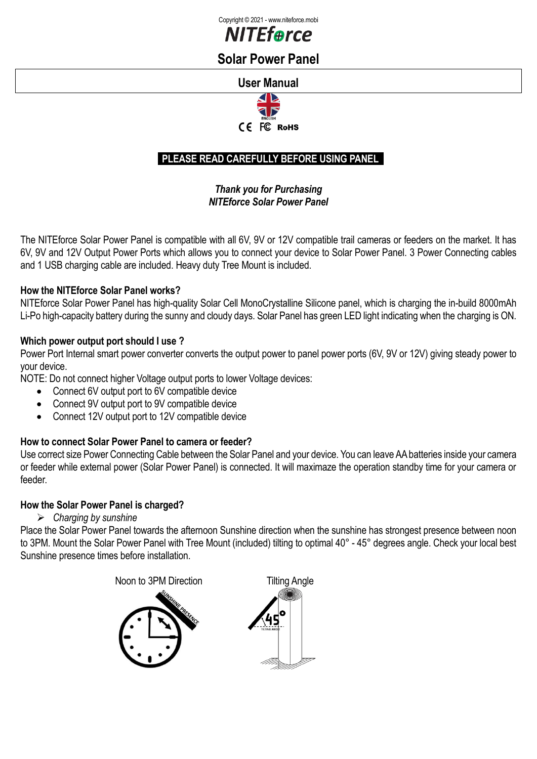



# **Solar Power Panel**

## **User Manual**



## **PLEASE READ CAREFULLY BEFORE USING PANEL**

## *Thank you for Purchasing NITEforce Solar Power Panel*

The NITEforce Solar Power Panel is compatible with all 6V, 9V or 12V compatible trail cameras or feeders on the market. It has 6V, 9V and 12V Output Power Ports which allows you to connect your device to Solar Power Panel. 3 Power Connecting cables and 1 USB charging cable are included. Heavy duty Tree Mount is included.

## **How the NITEforce Solar Panel works?**

NITEforce Solar Power Panel has high-quality Solar Cell MonoCrystalline Silicone panel, which is charging the in-build 8000mAh Li-Po high-capacity battery during the sunny and cloudy days. Solar Panel has green LED light indicating when the charging is ON.

## **Which power output port should I use ?**

Power Port Internal smart power converter converts the output power to panel power ports (6V, 9V or 12V) giving steady power to your device.

NOTE: Do not connect higher Voltage output ports to lower Voltage devices:

- Connect 6V output port to 6V compatible device
- Connect 9V output port to 9V compatible device
- Connect 12V output port to 12V compatible device

# **How to connect Solar Power Panel to camera or feeder?**

Use correct size Power Connecting Cable between the Solar Panel and your device. You can leave AA batteries inside your camera or feeder while external power (Solar Power Panel) is connected. It will maximaze the operation standby time for your camera or feeder.

## **How the Solar Power Panel is charged?**

## ➢ *Charging by sunshine*

Place the Solar Power Panel towards the afternoon Sunshine direction when the sunshine has strongest presence between noon to 3PM. Mount the Solar Power Panel with Tree Mount (included) tilting to optimal 40° - 45° degrees angle. Check your local best Sunshine presence times before installation.

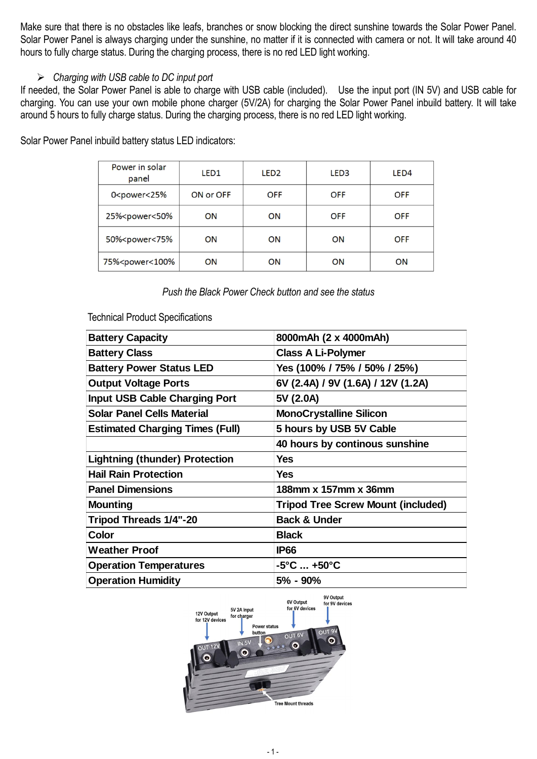Make sure that there is no obstacles like leafs, branches or snow blocking the direct sunshine towards the Solar Power Panel. Solar Power Panel is always charging under the sunshine, no matter if it is connected with camera or not. It will take around 40 hours to fully charge status. During the charging process, there is no red LED light working.

#### ➢ *Charging with USB cable to DC input port*

If needed, the Solar Power Panel is able to charge with USB cable (included). Use the input port (IN 5V) and USB cable for charging. You can use your own mobile phone charger (5V/2A) for charging the Solar Power Panel inbuild battery. It will take around 5 hours to fully charge status. During the charging process, there is no red LED light working.

| Power in solar<br>panel                                                                                      | LED <sub>1</sub> | LED <sub>2</sub> | LED <sub>3</sub> | LED <sub>4</sub> |
|--------------------------------------------------------------------------------------------------------------|------------------|------------------|------------------|------------------|
| 0 <power<25%< td=""><td>ON or OFF</td><td><b>OFF</b></td><td><b>OFF</b></td><td><b>OFF</b></td></power<25%<> | ON or OFF        | <b>OFF</b>       | <b>OFF</b>       | <b>OFF</b>       |
| 25% <power<50%< td=""><td>ON</td><td>ON</td><td><b>OFF</b></td><td><b>OFF</b></td></power<50%<>              | ON               | ON               | <b>OFF</b>       | <b>OFF</b>       |
| 50% <power<75%< td=""><td>ON</td><td>ON</td><td>ON</td><td><b>OFF</b></td></power<75%<>                      | ON               | ON               | ON               | <b>OFF</b>       |
| 75% <power<100%< td=""><td>ON</td><td>ON</td><td>ON</td><td>ON</td></power<100%<>                            | ON               | ON               | ON               | ON               |

Solar Power Panel inbuild battery status LED indicators:

Technical Product Specifications

| <b>Battery Capacity</b>                | 8000mAh (2 x 4000mAh)                     |  |  |
|----------------------------------------|-------------------------------------------|--|--|
| <b>Battery Class</b>                   | <b>Class A Li-Polymer</b>                 |  |  |
| <b>Battery Power Status LED</b>        | Yes (100% / 75% / 50% / 25%)              |  |  |
| <b>Output Voltage Ports</b>            | 6V (2.4A) / 9V (1.6A) / 12V (1.2A)        |  |  |
| <b>Input USB Cable Charging Port</b>   | 5V (2.0A)                                 |  |  |
| <b>Solar Panel Cells Material</b>      | <b>MonoCrystalline Silicon</b>            |  |  |
| <b>Estimated Charging Times (Full)</b> | 5 hours by USB 5V Cable                   |  |  |
|                                        | 40 hours by continous sunshine            |  |  |
| <b>Lightning (thunder) Protection</b>  | <b>Yes</b>                                |  |  |
| <b>Hail Rain Protection</b>            | <b>Yes</b>                                |  |  |
| <b>Panel Dimensions</b>                | 188mm x 157mm x 36mm                      |  |  |
| <b>Mounting</b>                        | <b>Tripod Tree Screw Mount (included)</b> |  |  |
| Tripod Threads 1/4"-20                 | <b>Back &amp; Under</b>                   |  |  |
| Color                                  | <b>Black</b>                              |  |  |
| <b>Weather Proof</b>                   | <b>IP66</b>                               |  |  |
| <b>Operation Temperatures</b>          | -5°C  +50°C                               |  |  |
| <b>Operation Humidity</b>              | 5% - 90%                                  |  |  |

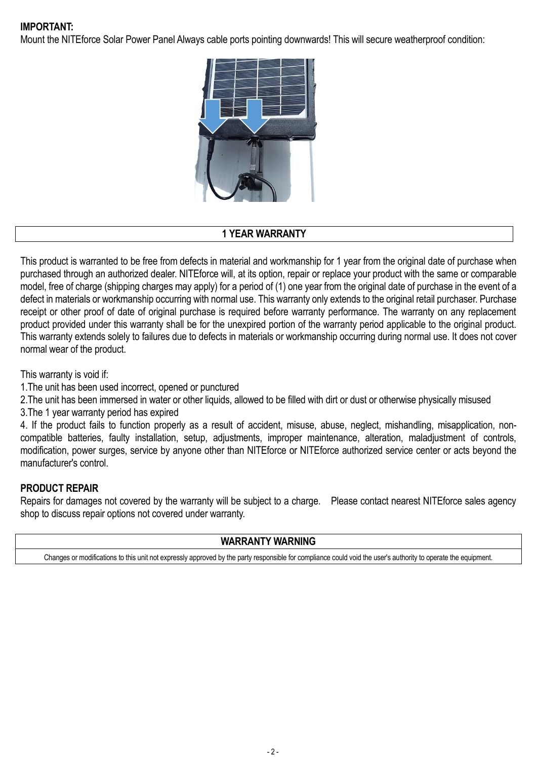## **IMPORTANT:**

Mount the NITEforce Solar Power Panel Always cable ports pointing downwards! This will secure weatherproof condition:



#### **1 YEAR WARRANTY**

This product is warranted to be free from defects in material and workmanship for 1 year from the original date of purchase when purchased through an authorized dealer. NITEforce will, at its option, repair or replace your product with the same or comparable model, free of charge (shipping charges may apply) for a period of (1) one year from the original date of purchase in the event of a defect in materials or workmanship occurring with normal use. This warranty only extends to the original retail purchaser. Purchase receipt or other proof of date of original purchase is required before warranty performance. The warranty on any replacement product provided under this warranty shall be for the unexpired portion of the warranty period applicable to the original product. This warranty extends solely to failures due to defects in materials or workmanship occurring during normal use. It does not cover normal wear of the product.

This warranty is void if:

1.The unit has been used incorrect, opened or punctured

- 2. The unit has been immersed in water or other liquids, allowed to be filled with dirt or dust or otherwise physically misused
- 3.The 1 year warranty period has expired

4. If the product fails to function properly as a result of accident, misuse, abuse, neglect, mishandling, misapplication, noncompatible batteries, faulty installation, setup, adjustments, improper maintenance, alteration, maladjustment of controls, modification, power surges, service by anyone other than NITEforce or NITEforce authorized service center or acts beyond the manufacturer's control.

## **PRODUCT REPAIR**

Repairs for damages not covered by the warranty will be subject to a charge. Please contact nearest NITEforce sales agency shop to discuss repair options not covered under warranty.

## **WARRANTY WARNING**

Changes or modifications to this unit not expressly approved by the party responsible for compliance could void the user's authority to operate the equipment.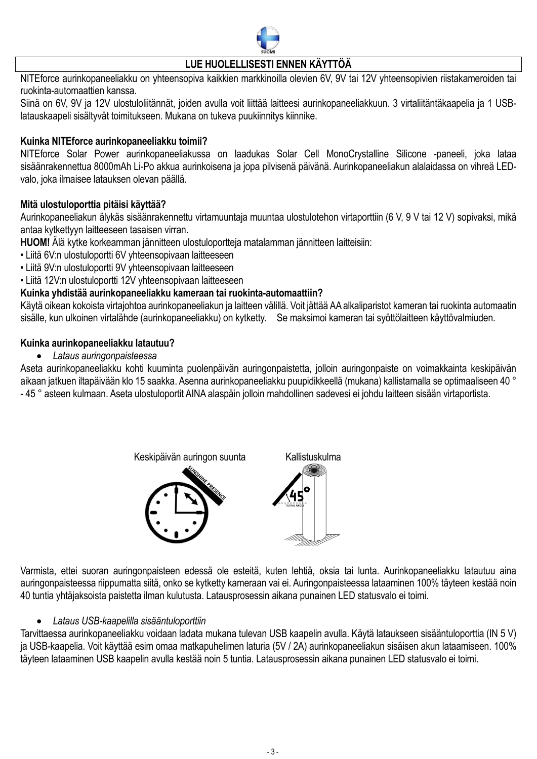

## **LUE HUOLELLISESTI ENNEN KÄYTTÖÄ**

NITEforce aurinkopaneeliakku on yhteensopiva kaikkien markkinoilla olevien 6V, 9V tai 12V yhteensopivien riistakameroiden tai ruokinta-automaattien kanssa.

Siinä on 6V, 9V ja 12V ulostuloliitännät, joiden avulla voit liittää laitteesi aurinkopaneeliakkuun. 3 virtaliitäntäkaapelia ja 1 USBlatauskaapeli sisältyvät toimitukseen. Mukana on tukeva puukiinnitys kiinnike.

#### **Kuinka NITEforce aurinkopaneeliakku toimii?**

NITEforce Solar Power aurinkopaneeliakussa on laadukas Solar Cell MonoCrystalline Silicone -paneeli, joka lataa sisäänrakennettua 8000mAh Li-Po akkua aurinkoisena ja jopa pilvisenä päivänä. Aurinkopaneeliakun alalaidassa on vihreä LEDvalo, joka ilmaisee latauksen olevan päällä.

#### **Mitä ulostuloporttia pitäisi käyttää?**

Aurinkopaneeliakun älykäs sisäänrakennettu virtamuuntaja muuntaa ulostulotehon virtaporttiin (6 V, 9 V tai 12 V) sopivaksi, mikä antaa kytkettyyn laitteeseen tasaisen virran.

**HUOM!** Älä kytke korkeamman jännitteen ulostuloportteja matalamman jännitteen laitteisiin:

- Liitä 6V:n ulostuloportti 6V yhteensopivaan laitteeseen
- Liitä 9V:n ulostuloportti 9V yhteensopivaan laitteeseen
- Liitä 12V:n ulostuloportti 12V yhteensopivaan laitteeseen

#### **Kuinka yhdistää aurinkopaneeliakku kameraan tai ruokinta-automaattiin?**

Käytä oikean kokoista virtajohtoa aurinkopaneeliakun ja laitteen välillä. Voit jättää AAalkaliparistot kameran tai ruokinta automaatin sisälle, kun ulkoinen virtalähde (aurinkopaneeliakku) on kytketty. Se maksimoi kameran tai syöttölaitteen käyttövalmiuden.

#### **Kuinka aurinkopaneeliakku latautuu?**

• *Lataus auringonpaisteessa*

Aseta aurinkopaneeliakku kohti kuuminta puolenpäivän auringonpaistetta, jolloin auringonpaiste on voimakkainta keskipäivän aikaan jatkuen iltapäivään klo 15 saakka. Asenna aurinkopaneeliakku puupidikkeellä (mukana) kallistamalla se optimaaliseen 40 ° - 45 ° asteen kulmaan. Aseta ulostuloportit AINA alaspäin jolloin mahdollinen sadevesi ei johdu laitteen sisään virtaportista.



Varmista, ettei suoran auringonpaisteen edessä ole esteitä, kuten lehtiä, oksia tai lunta. Aurinkopaneeliakku latautuu aina auringonpaisteessa riippumatta siitä, onko se kytketty kameraan vai ei. Auringonpaisteessa lataaminen 100% täyteen kestää noin 40 tuntia yhtäjaksoista paistetta ilman kulutusta. Latausprosessin aikana punainen LED statusvalo ei toimi.

#### • *Lataus USB-kaapelilla sisääntuloporttiin*

Tarvittaessa aurinkopaneeliakku voidaan ladata mukana tulevan USB kaapelin avulla. Käytä lataukseen sisääntuloporttia (IN 5 V) ja USB-kaapelia. Voit käyttää esim omaa matkapuhelimen laturia (5V / 2A) aurinkopaneeliakun sisäisen akun lataamiseen. 100% täyteen lataaminen USB kaapelin avulla kestää noin 5 tuntia. Latausprosessin aikana punainen LED statusvalo ei toimi.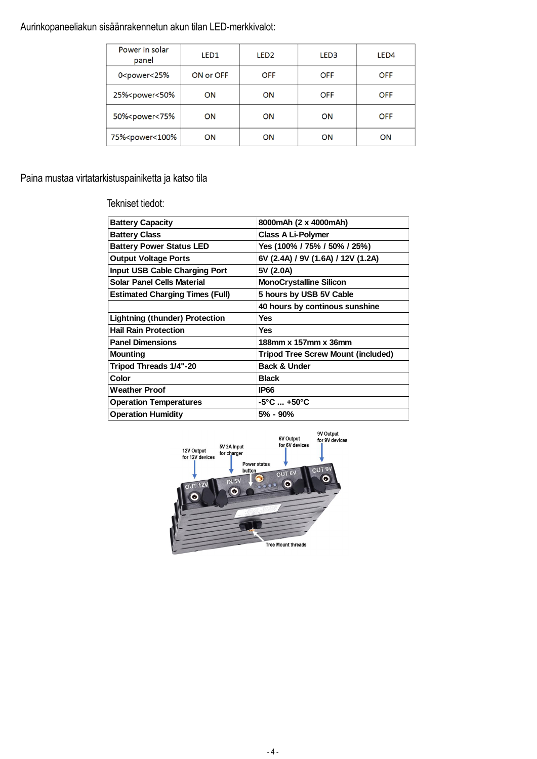# Aurinkopaneeliakun sisäänrakennetun akun tilan LED-merkkivalot:

| Power in solar<br>panel                                                                                      | LED <sub>1</sub> | LED <sub>2</sub> | LED <sub>3</sub> | LED <sub>4</sub> |
|--------------------------------------------------------------------------------------------------------------|------------------|------------------|------------------|------------------|
| 0 <power<25%< td=""><td>ON or OFF</td><td><b>OFF</b></td><td><b>OFF</b></td><td><b>OFF</b></td></power<25%<> | ON or OFF        | <b>OFF</b>       | <b>OFF</b>       | <b>OFF</b>       |
| 25% <power<50%< td=""><td>ON</td><td>ON</td><td><b>OFF</b></td><td><b>OFF</b></td></power<50%<>              | ON               | ON               | <b>OFF</b>       | <b>OFF</b>       |
| 50% <power<75%< td=""><td>ON</td><td>ON</td><td>ON</td><td><b>OFF</b></td></power<75%<>                      | ON               | ON               | ON               | <b>OFF</b>       |
| 75% <power<100%< td=""><td>ON</td><td>ON</td><td>ON</td><td>ON</td></power<100%<>                            | ON               | ON               | ON               | ON               |

# Paina mustaa virtatarkistuspainiketta ja katso tila

Tekniset tiedot:

| <b>Battery Capacity</b>                | 8000mAh (2 x 4000mAh)                     |  |  |
|----------------------------------------|-------------------------------------------|--|--|
| <b>Battery Class</b>                   | <b>Class A Li-Polymer</b>                 |  |  |
| <b>Battery Power Status LED</b>        | Yes (100% / 75% / 50% / 25%)              |  |  |
| <b>Output Voltage Ports</b>            | 6V (2.4A) / 9V (1.6A) / 12V (1.2A)        |  |  |
| <b>Input USB Cable Charging Port</b>   | 5V (2.0A)                                 |  |  |
| <b>Solar Panel Cells Material</b>      | <b>MonoCrystalline Silicon</b>            |  |  |
| <b>Estimated Charging Times (Full)</b> | 5 hours by USB 5V Cable                   |  |  |
|                                        | 40 hours by continous sunshine            |  |  |
| <b>Lightning (thunder) Protection</b>  | <b>Yes</b>                                |  |  |
| <b>Hail Rain Protection</b>            | Yes                                       |  |  |
| <b>Panel Dimensions</b>                | 188mm x 157mm x 36mm                      |  |  |
| <b>Mounting</b>                        | <b>Tripod Tree Screw Mount (included)</b> |  |  |
| Tripod Threads 1/4"-20                 | <b>Back &amp; Under</b>                   |  |  |
| Color                                  | <b>Black</b>                              |  |  |
| <b>Weather Proof</b>                   | <b>IP66</b>                               |  |  |
| <b>Operation Temperatures</b>          | $-5^{\circ}$ C $+50^{\circ}$ C            |  |  |
| <b>Operation Humidity</b>              | $5\%$ - $90\%$                            |  |  |